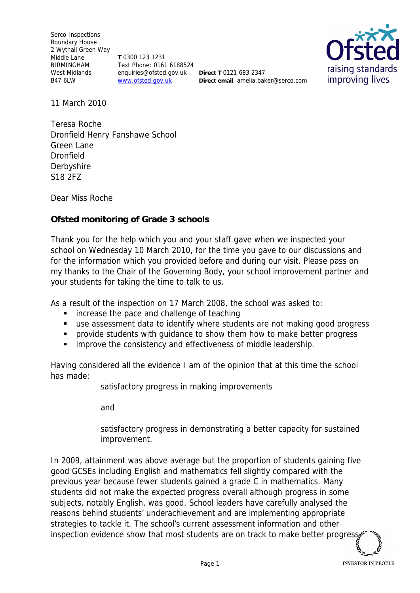Serco Inspections Boundary House 2 Wythall Green Way Middle Lane BIRMINGHAM West Midlands B47 6LW

**T** 0300 123 1231 Text Phone: 0161 6188524 enquiries@ofsted.gov.uk **Direct T** 0121 683 2347 www.ofsted.gov.uk

**Direct email**: amelia.baker@serco.com



11 March 2010

Teresa Roche Dronfield Henry Fanshawe School Green Lane Dronfield **Derbyshire** S18 2FZ

Dear Miss Roche

**Ofsted monitoring of Grade 3 schools**

Thank you for the help which you and your staff gave when we inspected your school on Wednesday 10 March 2010*,* for the time you gave to our discussions and for the information which you provided before and during our visit. Please pass on my thanks to the Chair of the Governing Body, your school improvement partner and your students for taking the time to talk to us.

As a result of the inspection on 17 March 2008, the school was asked to:

- **EXECUTE:** increase the pace and challenge of teaching
- use assessment data to identify where students are not making good progress
- **Perovide students with quidance to show them how to make better progress**
- **F** improve the consistency and effectiveness of middle leadership.

Having considered all the evidence I am of the opinion that at this time the school has made:

satisfactory progress in making improvements

and

satisfactory progress in demonstrating a better capacity for sustained improvement.

In 2009, attainment was above average but the proportion of students gaining five good GCSEs including English and mathematics fell slightly compared with the previous year because fewer students gained a grade C in mathematics. Many students did not make the expected progress overall although progress in some subjects, notably English, was good. School leaders have carefully analysed the reasons behind students' underachievement and are implementing appropriate strategies to tackle it. The school's current assessment information and other inspection evidence show that most students are on track to make better progres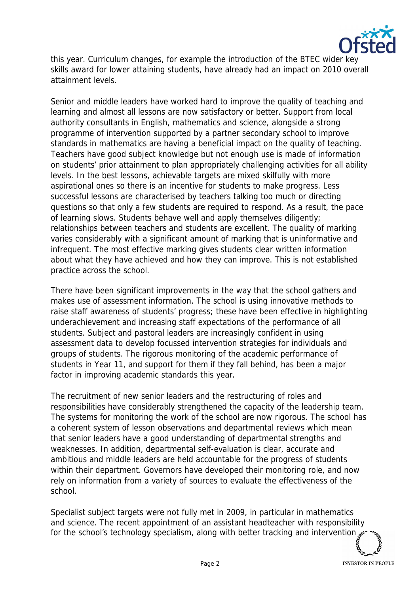

this year. Curriculum changes, for example the introduction of the BTEC wider key skills award for lower attaining students, have already had an impact on 2010 overall attainment levels.

Senior and middle leaders have worked hard to improve the quality of teaching and learning and almost all lessons are now satisfactory or better. Support from local authority consultants in English, mathematics and science, alongside a strong programme of intervention supported by a partner secondary school to improve standards in mathematics are having a beneficial impact on the quality of teaching. Teachers have good subject knowledge but not enough use is made of information on students' prior attainment to plan appropriately challenging activities for all ability levels. In the best lessons, achievable targets are mixed skilfully with more aspirational ones so there is an incentive for students to make progress. Less successful lessons are characterised by teachers talking too much or directing questions so that only a few students are required to respond. As a result, the pace of learning slows. Students behave well and apply themselves diligently; relationships between teachers and students are excellent. The quality of marking varies considerably with a significant amount of marking that is uninformative and infrequent. The most effective marking gives students clear written information about what they have achieved and how they can improve. This is not established practice across the school.

There have been significant improvements in the way that the school gathers and makes use of assessment information. The school is using innovative methods to raise staff awareness of students' progress; these have been effective in highlighting underachievement and increasing staff expectations of the performance of all students. Subject and pastoral leaders are increasingly confident in using assessment data to develop focussed intervention strategies for individuals and groups of students. The rigorous monitoring of the academic performance of students in Year 11, and support for them if they fall behind, has been a major factor in improving academic standards this year.

The recruitment of new senior leaders and the restructuring of roles and responsibilities have considerably strengthened the capacity of the leadership team. The systems for monitoring the work of the school are now rigorous. The school has a coherent system of lesson observations and departmental reviews which mean that senior leaders have a good understanding of departmental strengths and weaknesses. In addition, departmental self-evaluation is clear, accurate and ambitious and middle leaders are held accountable for the progress of students within their department. Governors have developed their monitoring role, and now rely on information from a variety of sources to evaluate the effectiveness of the school.

Specialist subject targets were not fully met in 2009, in particular in mathematics and science. The recent appointment of an assistant headteacher with responsibility for the school's technology specialism, along with better tracking and intervention